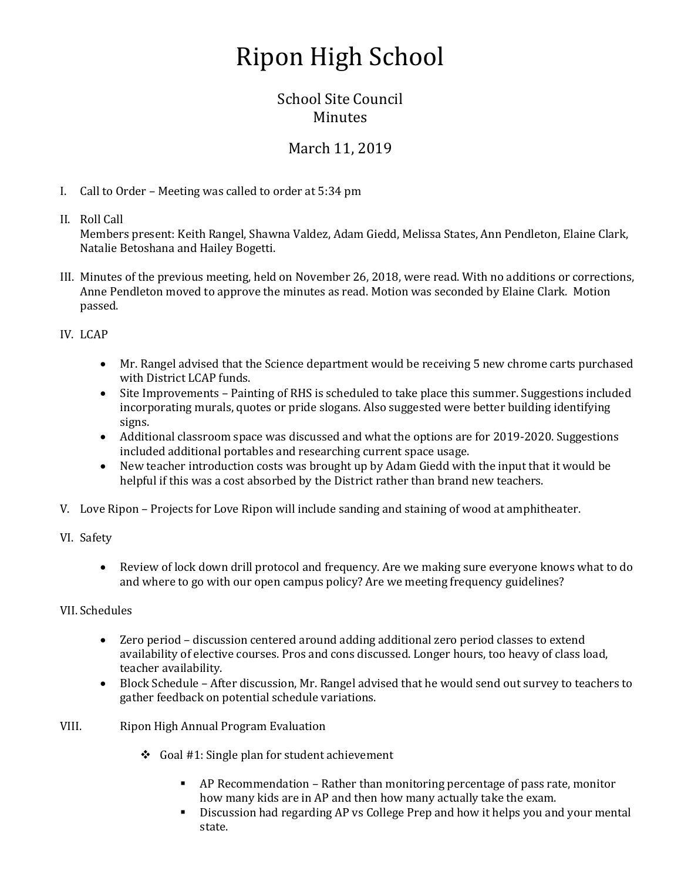## Ripon High School

## School Site Council **Minutes**

## March 11, 2019

- I. Call to Order Meeting was called to order at 5:34 pm
- II. Roll Call

Members present: Keith Rangel, Shawna Valdez, Adam Giedd, Melissa States, Ann Pendleton, Elaine Clark, Natalie Betoshana and Hailey Bogetti.

- III. Minutes of the previous meeting, held on November 26, 2018, were read. With no additions or corrections, Anne Pendleton moved to approve the minutes as read. Motion was seconded by Elaine Clark. Motion passed.
- IV. LCAP
	- Mr. Rangel advised that the Science department would be receiving 5 new chrome carts purchased with District LCAP funds.
	- Site Improvements Painting of RHS is scheduled to take place this summer. Suggestions included incorporating murals, quotes or pride slogans. Also suggested were better building identifying signs.
	- Additional classroom space was discussed and what the options are for 2019-2020. Suggestions included additional portables and researching current space usage.
	- New teacher introduction costs was brought up by Adam Giedd with the input that it would be helpful if this was a cost absorbed by the District rather than brand new teachers.
- V. Love Ripon Projects for Love Ripon will include sanding and staining of wood at amphitheater.
- VI. Safety
	- Review of lock down drill protocol and frequency. Are we making sure everyone knows what to do and where to go with our open campus policy? Are we meeting frequency guidelines?

## VII. Schedules

- Zero period discussion centered around adding additional zero period classes to extend availability of elective courses. Pros and cons discussed. Longer hours, too heavy of class load, teacher availability.
- Block Schedule After discussion, Mr. Rangel advised that he would send out survey to teachers to gather feedback on potential schedule variations.
- VIII. Ripon High Annual Program Evaluation
	- $\div$  Goal #1: Single plan for student achievement
		- AP Recommendation Rather than monitoring percentage of pass rate, monitor how many kids are in AP and then how many actually take the exam.
		- Discussion had regarding AP vs College Prep and how it helps you and your mental state.